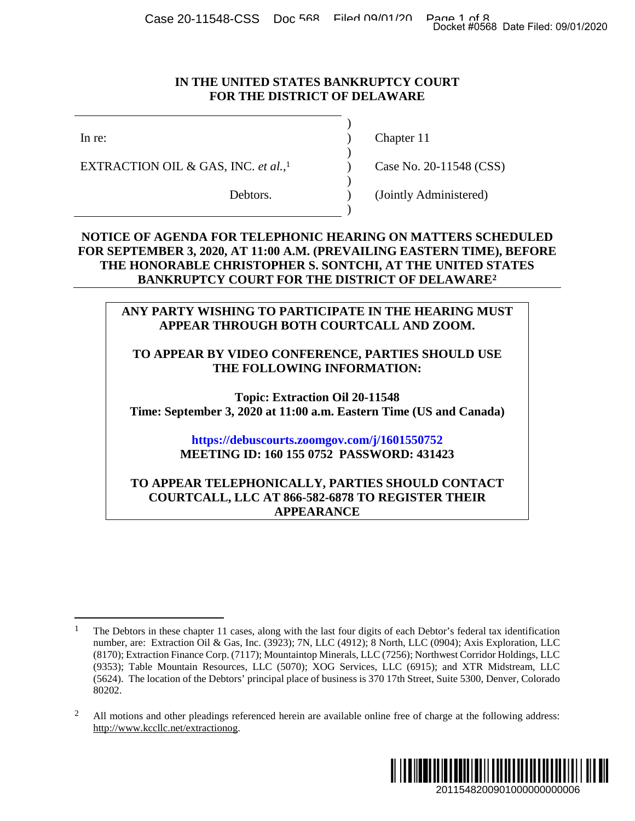Case 20-11548-CSS Doc 568 Filed 09/01/20 Page 1 of 8<br>Docket #0568 Date Filed: 09/01/2020

#### **IN THE UNITED STATES BANKRUPTCY COURT FOR THE DISTRICT OF DELAWARE**

)

 $\overline{)}$ 

)

)

EXTRACTION OIL & GAS, INC. *et al.*,

In re: (a) Chapter 11

 $\text{Case No. 20-11548 (CSS)}$  $\text{Case No. 20-11548 (CSS)}$  $\text{Case No. 20-11548 (CSS)}$ 

Debtors. (Jointly Administered)

### **NOTICE OF AGENDA FOR TELEPHONIC HEARING ON MATTERS SCHEDULED FOR SEPTEMBER 3, 2020, AT 11:00 A.M. (PREVAILING EASTERN TIME), BEFORE THE HONORABLE CHRISTOPHER S. SONTCHI, AT THE UNITED [ST](#page-0-1)ATES BANKRUPTCY COURT FOR THE DISTRICT OF DELAWARE<sup>2</sup>**

## **ANY PARTY WISHING TO PARTICIPATE IN THE HEARING MUST APPEAR THROUGH BOTH COURTCALL AND ZOOM.**

### **TO APPEAR BY VIDEO CONFERENCE, PARTIES SHOULD USE THE FOLLOWING INFORMATION:**

**Topic: Extraction Oil 20-11548 Time: September 3, 2020 at 11:00 a.m. Eastern Time (US and Canada)** 

# **<https://debuscourts.zoomgov.com/j/1601550752> MEETING ID: 160 155 0752 PASSWORD: 431423**

### **TO APPEAR TELEPHONICALLY, PARTIES SHOULD CONTACT COURTCALL, LLC AT 866-582-6878 TO REGISTER THEIR APPEARANCE**

<span id="page-0-1"></span><span id="page-0-0"></span><sup>&</sup>lt;sup>2</sup> All motions and other pleadings referenced herein are available online free of charge at the following address: http://www.kccllc.net/extractionog.



<sup>1</sup> The Debtors in these chapter 11 cases, along with the last four digits of each Debtor's federal tax identification number, are: Extraction Oil & Gas, Inc. (3923); 7N, LLC (4912); 8 North, LLC (0904); Axis Exploration, LLC (8170); Extraction Finance Corp. (7117); Mountaintop Minerals, LLC (7256); Northwest Corridor Holdings, LLC (9353); Table Mountain Resources, LLC (5070); XOG Services, LLC (6915); and XTR Midstream, LLC (5624). The location of the Debtors' principal place of business is 370 17th Street, Suite 5300, Denver, Colorado 80202. 2011548200901000000000006 Docket #0568 Date Filed: 09/01/2020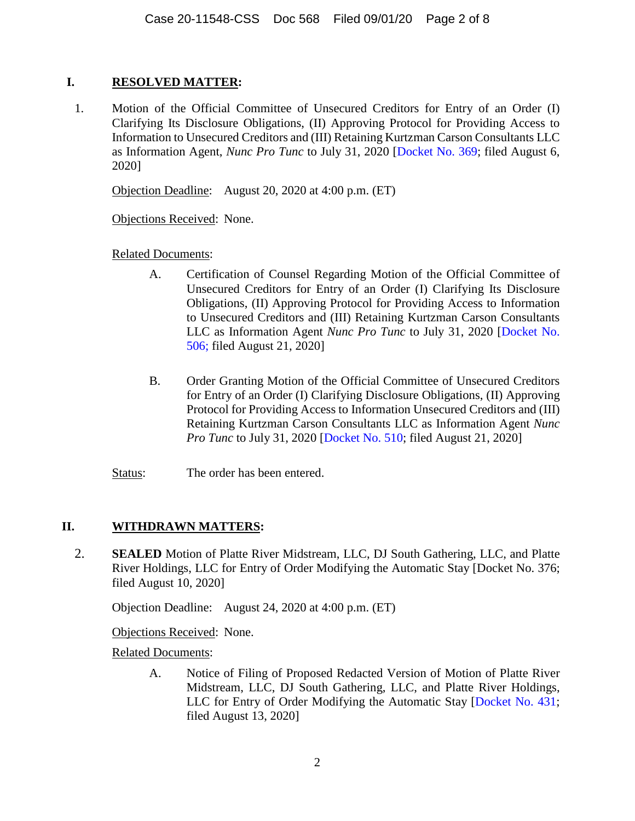# **I. RESOLVED MATTER:**

1. Motion of the Official Committee of Unsecured Creditors for Entry of an Order (I) Clarifying Its Disclosure Obligations, (II) Approving Protocol for Providing Access to Information to Unsecured Creditors and (III) Retaining Kurtzman Carson Consultants LLC as Information Agent, *Nunc Pro Tunc* to July 31, 2020 [[Docket No. 369](https://www.kccllc.net/extractionog/document/2011548200806000000000006); filed August 6, 2020]

Objection Deadline: August 20, 2020 at 4:00 p.m. (ET)

Objections Received: None.

Related Documents:

- A. Certification of Counsel Regarding Motion of the Official Committee of Unsecured Creditors for Entry of an Order (I) Clarifying Its Disclosure Obligations, (II) Approving Protocol for Providing Access to Information to Unsecured Creditors and (III) Retaining Kurtzman Carson Consultants LLC as Information Agent *Nunc Pro Tunc* to July 31, 2020 [[Docket No.](https://www.kccllc.net/extractionog/document/2011548200821000000000008)  [506; filed August 21, 2020\]](https://www.kccllc.net/extractionog/document/2011548200821000000000008)
- B. Order Granting Motion of the Official Committee of Unsecured Creditors for Entry of an Order (I) Clarifying Disclosure Obligations, (II) Approving Protocol for Providing Access to Information Unsecured Creditors and (III) Retaining Kurtzman Carson Consultants LLC as Information Agent *Nunc Pro Tunc* to July 31, 2020 [\[Docket No. 510;](https://www.kccllc.net/extractionog/document/2011548200824000000000002) filed August 21, 2020]
- Status: The order has been entered.

# **II. WITHDRAWN MATTERS:**

2. **SEALED** Motion of Platte River Midstream, LLC, DJ South Gathering, LLC, and Platte River Holdings, LLC for Entry of Order Modifying the Automatic Stay [Docket No. 376; filed August 10, 2020]

Objection Deadline: August 24, 2020 at 4:00 p.m. (ET)

Objections Received: None.

Related Documents:

A. Notice of Filing of Proposed Redacted Version of Motion of Platte River Midstream, LLC, DJ South Gathering, LLC, and Platte River Holdings, LLC for Entry of Order Modifying the Automatic Stay [\[Docket No. 431;](https://www.kccllc.net/extractionog/document/2011548200813000000000041) filed August 13, 2020]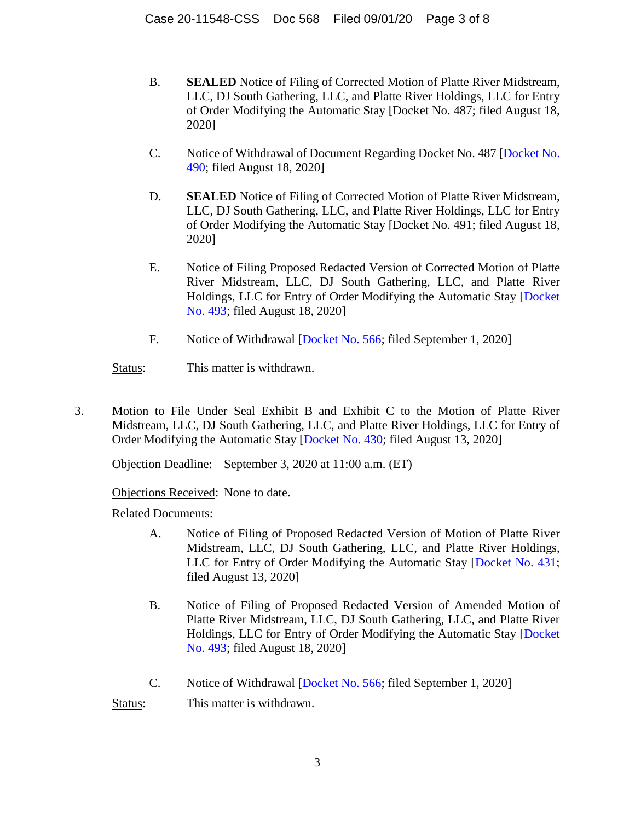- B. **SEALED** Notice of Filing of Corrected Motion of Platte River Midstream, LLC, DJ South Gathering, LLC, and Platte River Holdings, LLC for Entry of Order Modifying the Automatic Stay [Docket No. 487; filed August 18, 2020]
- C. Notice of Withdrawal of Document Regarding Docket No. 487 [\[Docket No.](https://www.kccllc.net/extractionog/document/2011548200818000000000020)  [490; filed August 18, 2020\]](https://www.kccllc.net/extractionog/document/2011548200818000000000020)
- D. **SEALED** Notice of Filing of Corrected Motion of Platte River Midstream, LLC, DJ South Gathering, LLC, and Platte River Holdings, LLC for Entry of Order Modifying the Automatic Stay [Docket No. 491; filed August 18, 2020]
- E. Notice of Filing Proposed Redacted Version of Corrected Motion of Platte River Midstream, LLC, DJ South Gathering, LLC, and Platte River Holdings, LLC for Entry of Order Modifying the Automatic Stay [[Docket](https://www.kccllc.net/extractionog/document/2011548200818000000000023)  [No. 493; filed August 18, 2020\]](https://www.kccllc.net/extractionog/document/2011548200818000000000023)
- F. Notice of Withdrawal [[Docket No. 566;](https://www.kccllc.net/extractionog/document/2011548200901000000000003) filed September 1, 2020]

Status: This matter is withdrawn.

3. Motion to File Under Seal Exhibit B and Exhibit C to the Motion of Platte River Midstream, LLC, DJ South Gathering, LLC, and Platte River Holdings, LLC for Entry of Order Modifying the Automatic Stay [[Docket No. 430](https://www.kccllc.net/extractionog/document/2011548200813000000000037); filed August 13, 2020]

Objection Deadline: September 3, 2020 at 11:00 a.m. (ET)

Objections Received: None to date.

Related Documents:

- A. Notice of Filing of Proposed Redacted Version of Motion of Platte River Midstream, LLC, DJ South Gathering, LLC, and Platte River Holdings, LLC for Entry of Order Modifying the Automatic Stay [\[Docket No. 431;](https://www.kccllc.net/extractionog/document/2011548200813000000000041) filed August 13, 2020]
- B. Notice of Filing of Proposed Redacted Version of Amended Motion of Platte River Midstream, LLC, DJ South Gathering, LLC, and Platte River Holdings, LLC for Entry of Order Modifying the Automatic Stay [[Docket](https://www.kccllc.net/extractionog/document/2011548200818000000000023)  [No. 493; filed August 18, 2020\]](https://www.kccllc.net/extractionog/document/2011548200818000000000023)
- C. Notice of Withdrawal [[Docket No. 566;](https://www.kccllc.net/extractionog/document/2011548200901000000000003) filed September 1, 2020]

Status: This matter is withdrawn.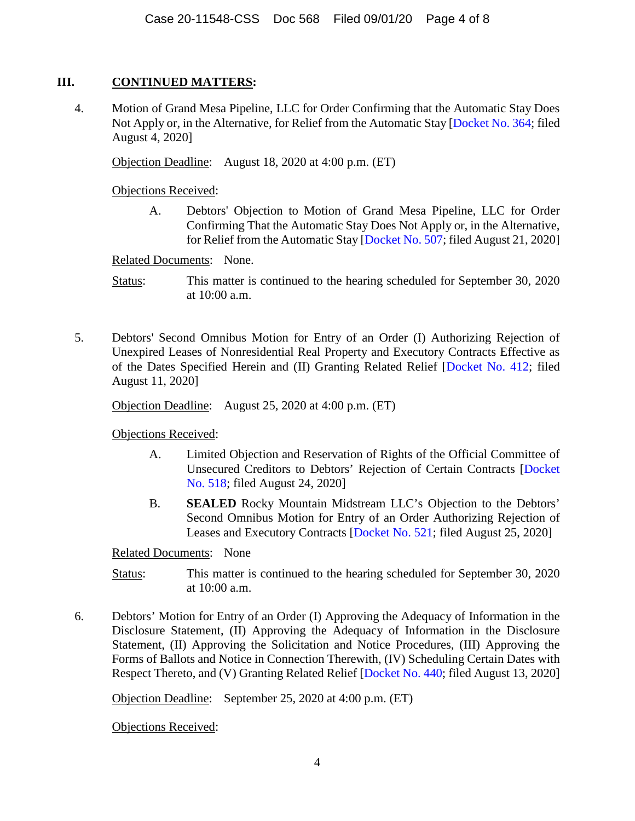# **III. CONTINUED MATTERS:**

4. Motion of Grand Mesa Pipeline, LLC for Order Confirming that the Automatic Stay Does Not Apply or, in the Alternative, for Relief from the Automatic Stay [[Docket No. 364](https://www.kccllc.net/extractionog/document/2011548200804000000000011); filed August 4, 2020]

Objection Deadline: August 18, 2020 at 4:00 p.m. (ET)

Objections Received:

A. Debtors' Objection to Motion of Grand Mesa Pipeline, LLC for Order Confirming That the Automatic Stay Does Not Apply or, in the Alternative, for Relief from the Automatic Stay [[Docket No. 507](https://www.kccllc.net/extractionog/document/2011548200821000000000009); filed August 21, 2020]

Related Documents: None.

Status: This matter is continued to the hearing scheduled for September 30, 2020 at 10:00 a.m.

5. Debtors' Second Omnibus Motion for Entry of an Order (I) Authorizing Rejection of Unexpired Leases of Nonresidential Real Property and Executory Contracts Effective as of the Dates Specified Herein and (II) Granting Related Relief [[Docket No. 412](https://www.kccllc.net/extractionog/document/2011548200811000000000043); filed August 11, 2020]

Objection Deadline: August 25, 2020 at 4:00 p.m. (ET)

Objections Received:

- A. Limited Objection and Reservation of Rights of the Official Committee of Unsecured Creditors to Debtors' Rejection of Certain Contracts [[Docket](https://www.kccllc.net/extractionog/document/2011548200824000000000020)  [No. 518; filed August 24, 2020\]](https://www.kccllc.net/extractionog/document/2011548200824000000000020)
- B. **SEALED** Rocky Mountain Midstream LLC's Objection to the Debtors' Second Omnibus Motion for Entry of an Order Authorizing Rejection of Leases and Executory Contracts [\[Docket No. 521;](https://www.kccllc.net/extractionog/document/2011548200825000000000006) filed August 25, 2020]

Related Documents: None

- Status: This matter is continued to the hearing scheduled for September 30, 2020 at 10:00 a.m.
- 6. Debtors' Motion for Entry of an Order (I) Approving the Adequacy of Information in the Disclosure Statement, (II) Approving the Adequacy of Information in the Disclosure Statement, (II) Approving the Solicitation and Notice Procedures, (III) Approving the Forms of Ballots and Notice in Connection Therewith, (IV) Scheduling Certain Dates with Respect Thereto, and (V) Granting Related Relief [\[Docket No. 440;](https://www.kccllc.net/extractionog/document/2011548200813000000000095) filed August 13, 2020]

Objection Deadline: September 25, 2020 at 4:00 p.m. (ET)

Objections Received: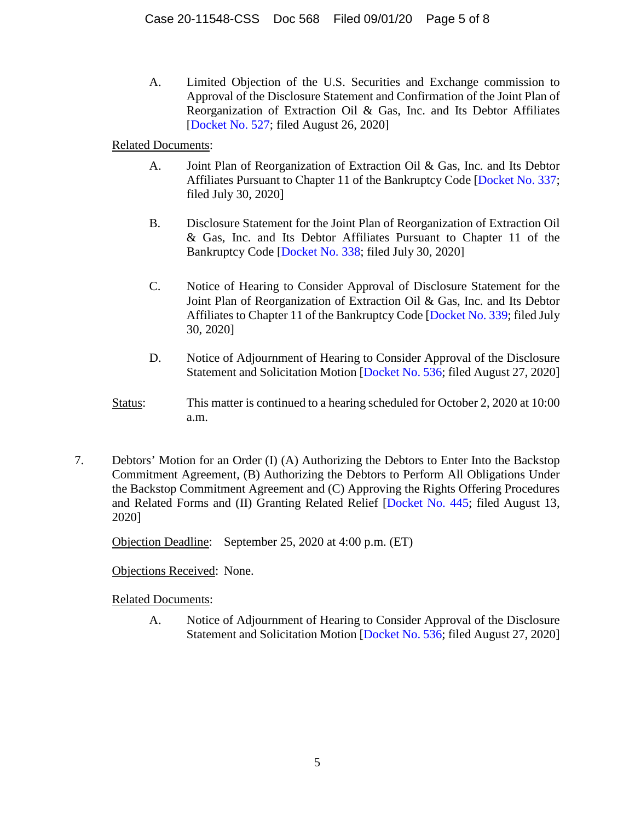A. Limited Objection of the U.S. Securities and Exchange commission to Approval of the Disclosure Statement and Confirmation of the Joint Plan of Reorganization of Extraction Oil & Gas, Inc. and Its Debtor Affiliates [[Docket No. 527](https://www.kccllc.net/extractionog/document/2011548200826000000000001); filed August 26, 2020]

Related Documents:

- A. Joint Plan of Reorganization of Extraction Oil & Gas, Inc. and Its Debtor Affiliates Pursuant to Chapter 11 of the Bankruptcy Code [\[Docket No. 337;](https://www.kccllc.net/extractionog/document/2011548200730000000000014) filed July 30, 2020]
- B. Disclosure Statement for the Joint Plan of Reorganization of Extraction Oil & Gas, Inc. and Its Debtor Affiliates Pursuant to Chapter 11 of the Bankruptcy Code [\[Docket No. 338;](https://www.kccllc.net/extractionog/document/2011548200730000000000015) filed July 30, 2020]
- C. Notice of Hearing to Consider Approval of Disclosure Statement for the Joint Plan of Reorganization of Extraction Oil & Gas, Inc. and Its Debtor Affiliates to Chapter 11 of the Bankruptcy Code [\[Docket No. 339;](https://www.kccllc.net/extractionog/document/2011548200730000000000016) filed July 30, 2020]
- D. Notice of Adjournment of Hearing to Consider Approval of the Disclosure Statement and Solicitation Motion [[Docket No. 536](https://www.kccllc.net/extractionog/document/2011548200827000000000007); filed August 27, 2020]
- Status: This matter is continued to a hearing scheduled for October 2, 2020 at 10:00 a.m.
- 7. Debtors' Motion for an Order (I) (A) Authorizing the Debtors to Enter Into the Backstop Commitment Agreement, (B) Authorizing the Debtors to Perform All Obligations Under the Backstop Commitment Agreement and (C) Approving the Rights Offering Procedures and Related Forms and (II) Granting Related Relief [\[Docket No. 445](https://www.kccllc.net/extractionog/document/2011548200813000000000108); filed August 13, 2020]

Objection Deadline: September 25, 2020 at 4:00 p.m. (ET)

Objections Received: None.

Related Documents:

A. Notice of Adjournment of Hearing to Consider Approval of the Disclosure Statement and Solicitation Motion [[Docket No. 536](https://www.kccllc.net/extractionog/document/2011548200827000000000007); filed August 27, 2020]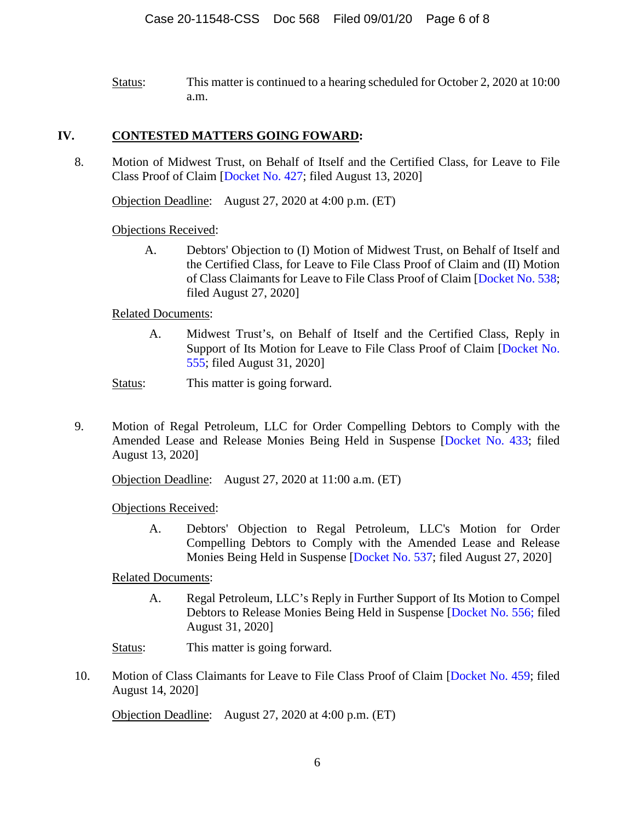Status: This matter is continued to a hearing scheduled for October 2, 2020 at 10:00 a.m.

## **IV. CONTESTED MATTERS GOING FOWARD:**

8. Motion of Midwest Trust, on Behalf of Itself and the Certified Class, for Leave to File Class Proof of Claim [\[Docket No. 427](https://www.kccllc.net/extractionog/document/2011548200813000000000011); filed August 13, 2020]

Objection Deadline: August 27, 2020 at 4:00 p.m. (ET)

Objections Received:

A. Debtors' Objection to (I) Motion of Midwest Trust, on Behalf of Itself and the Certified Class, for Leave to File Class Proof of Claim and (II) Motion of Class Claimants for Leave to File Class Proof of Claim [\[Docket No. 538;](https://www.kccllc.net/extractionog/document/2011548200827000000000010) filed August 27, 2020]

### Related Documents:

A. Midwest Trust's, on Behalf of Itself and the Certified Class, Reply in Support of Its Motion for Leave to File Class Proof of Claim [\[Docket No.](https://www.kccllc.net/extractionog/document/2011548200831000000000012)  [555; filed August 31, 2020\]](https://www.kccllc.net/extractionog/document/2011548200831000000000012) 

Status: This matter is going forward.

9. Motion of Regal Petroleum, LLC for Order Compelling Debtors to Comply with the Amended Lease and Release Monies Being Held in Suspense [\[Docket No. 433](https://www.kccllc.net/extractionog/document/2011548200813000000000054); filed August 13, 2020]

Objection Deadline: August 27, 2020 at 11:00 a.m. (ET)

Objections Received:

A. Debtors' Objection to Regal Petroleum, LLC's Motion for Order Compelling Debtors to Comply with the Amended Lease and Release Monies Being Held in Suspense [\[Docket No. 537](https://www.kccllc.net/extractionog/document/2011548200827000000000009); filed August 27, 2020]

Related Documents:

A. Regal Petroleum, LLC's Reply in Further Support of Its Motion to Compel Debtors to Release Monies Being Held in Suspense [\[Docket No. 556;](https://www.kccllc.net/extractionog/document/2011548200831000000000014) filed August 31, 2020]

Status: This matter is going forward.

10. Motion of Class Claimants for Leave to File Class Proof of Claim [[Docket No. 459](https://www.kccllc.net/extractionog/document/2011548200814000000000112); filed August 14, 2020]

Objection Deadline: August 27, 2020 at 4:00 p.m. (ET)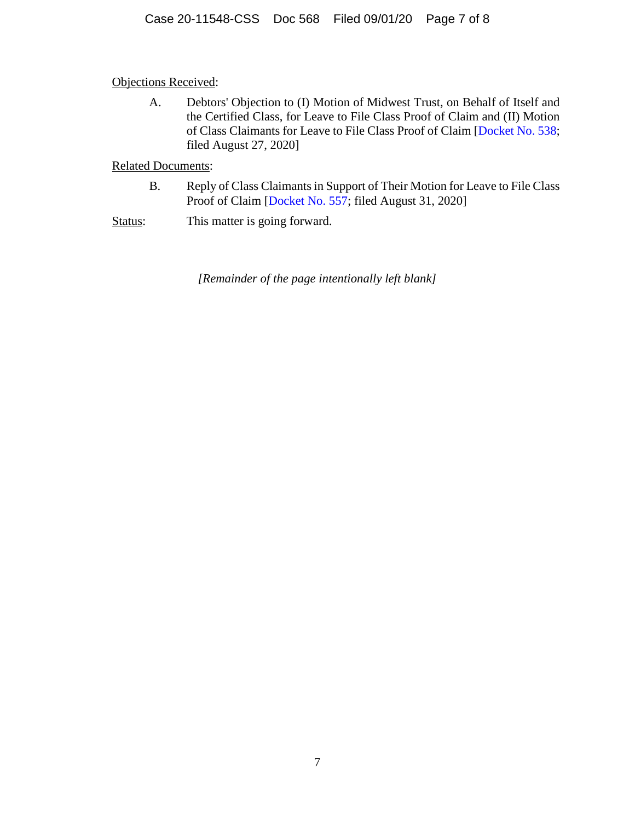Objections Received:

A. Debtors' Objection to (I) Motion of Midwest Trust, on Behalf of Itself and the Certified Class, for Leave to File Class Proof of Claim and (II) Motion of Class Claimants for Leave to File Class Proof of Claim [\[Docket No. 538;](https://www.kccllc.net/extractionog/document/2011548200827000000000010) filed August 27, 2020]

Related Documents:

- B. Reply of Class Claimants in Support of Their Motion for Leave to File Class Proof of Claim [[Docket No. 557](https://www.kccllc.net/extractionog/document/2011548200831000000000014); filed August 31, 2020]
- Status: This matter is going forward.

*[Remainder of the page intentionally left blank]*